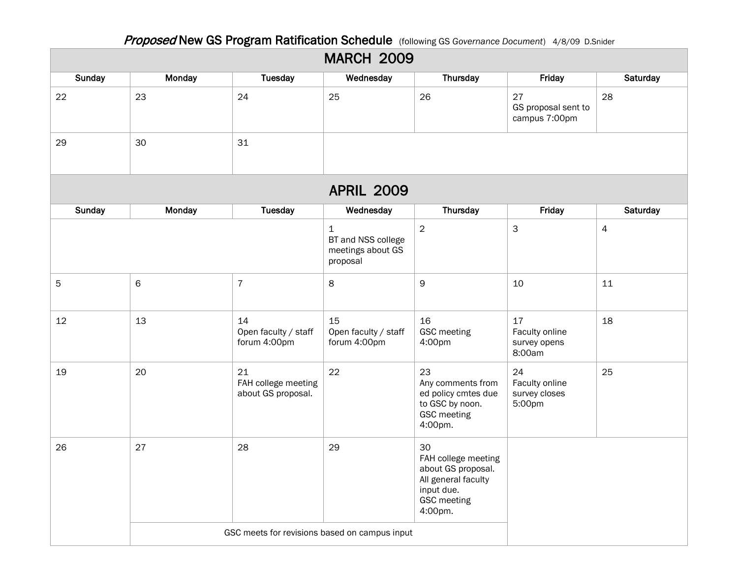| - - -<br>~o∙<br>. <del>.</del> .<br><b>MARCH 2009</b> |        |                                                 |                                                                    |                                                                                                                       |                                                 |                |  |  |  |  |
|-------------------------------------------------------|--------|-------------------------------------------------|--------------------------------------------------------------------|-----------------------------------------------------------------------------------------------------------------------|-------------------------------------------------|----------------|--|--|--|--|
| Sunday                                                | Monday | Tuesday                                         | Wednesday                                                          | Thursday                                                                                                              | Friday                                          | Saturday       |  |  |  |  |
| 22                                                    | 23     | 24                                              | 25                                                                 | 26                                                                                                                    | 27<br>GS proposal sent to<br>campus 7:00pm      | 28             |  |  |  |  |
| 29                                                    | 30     | 31                                              |                                                                    |                                                                                                                       |                                                 |                |  |  |  |  |
| <b>APRIL 2009</b>                                     |        |                                                 |                                                                    |                                                                                                                       |                                                 |                |  |  |  |  |
| Sunday                                                | Monday | <b>Tuesday</b>                                  | Wednesday                                                          | Thursday                                                                                                              | Friday                                          | Saturday       |  |  |  |  |
|                                                       |        |                                                 | $\mathbf 1$<br>BT and NSS college<br>meetings about GS<br>proposal | $\overline{2}$                                                                                                        | $\mathsf 3$                                     | $\overline{4}$ |  |  |  |  |
| 5                                                     | 6      | $\bf 7$                                         | 8                                                                  | 9                                                                                                                     | 10                                              | 11             |  |  |  |  |
| 12                                                    | 13     | 14<br>Open faculty / staff<br>forum 4:00pm      | 15<br>Open faculty / staff<br>forum 4:00pm                         | 16<br><b>GSC</b> meeting<br>4:00pm                                                                                    | 17<br>Faculty online<br>survey opens<br>8:00am  | 18             |  |  |  |  |
| 19                                                    | 20     | 21<br>FAH college meeting<br>about GS proposal. | 22                                                                 | 23<br>Any comments from<br>ed policy cmtes due<br>to GSC by noon.<br><b>GSC</b> meeting<br>4:00pm.                    | 24<br>Faculty online<br>survey closes<br>5:00pm | 25             |  |  |  |  |
| 26                                                    | 27     | 28                                              | 29                                                                 | 30<br>FAH college meeting<br>about GS proposal.<br>All general faculty<br>input due.<br><b>GSC</b> meeting<br>4:00pm. |                                                 |                |  |  |  |  |
|                                                       |        | GSC meets for revisions based on campus input   |                                                                    |                                                                                                                       |                                                 |                |  |  |  |  |

## Proposed New GS Program Ratification Schedule (following GS *Governance Document*) 4/8/09 D.Snider